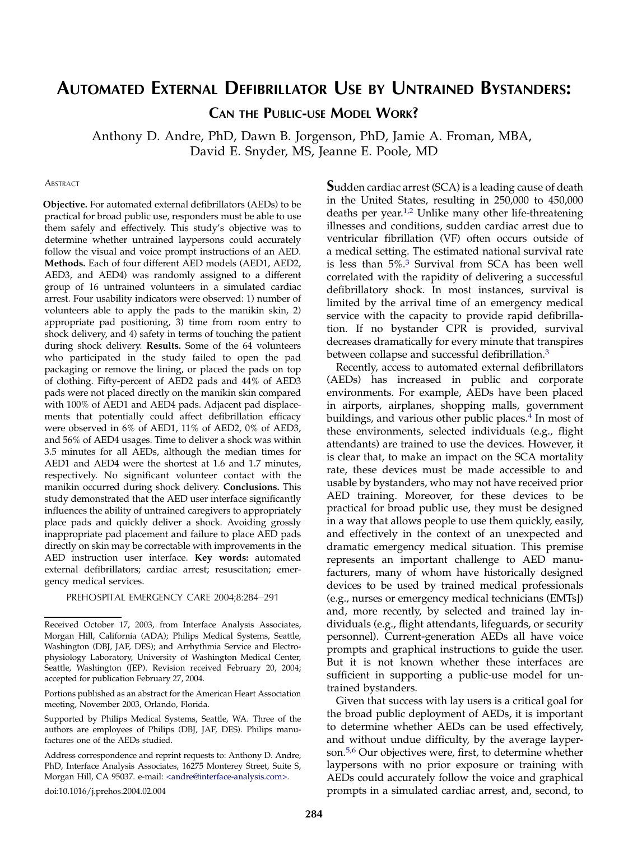# AUTOMATED EXTERNAL DEFIBRILLATOR USE BY UNTRAINED BYSTANDERS:

CAN THE PUBLIC-USE MODEL WORK?

Anthony D. Andre, PhD, Dawn B. Jorgenson, PhD, Jamie A. Froman, MBA, David E. Snyder, MS, Jeanne E. Poole, MD

**ABSTRACT** 

Objective. For automated external defibrillators (AEDs) to be practical for broad public use, responders must be able to use them safely and effectively. This study's objective was to determine whether untrained laypersons could accurately follow the visual and voice prompt instructions of an AED. Methods. Each of four different AED models (AED1, AED2, AED3, and AED4) was randomly assigned to a different group of 16 untrained volunteers in a simulated cardiac arrest. Four usability indicators were observed: 1) number of volunteers able to apply the pads to the manikin skin, 2) appropriate pad positioning, 3) time from room entry to shock delivery, and 4) safety in terms of touching the patient during shock delivery. Results. Some of the 64 volunteers who participated in the study failed to open the pad packaging or remove the lining, or placed the pads on top of clothing. Fifty-percent of AED2 pads and 44% of AED3 pads were not placed directly on the manikin skin compared with 100% of AED1 and AED4 pads. Adjacent pad displacements that potentially could affect defibrillation efficacy were observed in 6% of AED1, 11% of AED2, 0% of AED3, and 56% of AED4 usages. Time to deliver a shock was within 3.5 minutes for all AEDs, although the median times for AED1 and AED4 were the shortest at 1.6 and 1.7 minutes, respectively. No significant volunteer contact with the manikin occurred during shock delivery. Conclusions. This study demonstrated that the AED user interface significantly influences the ability of untrained caregivers to appropriately place pads and quickly deliver a shock. Avoiding grossly inappropriate pad placement and failure to place AED pads directly on skin may be correctable with improvements in the AED instruction user interface. Key words: automated external defibrillators; cardiac arrest; resuscitation; emergency medical services.

PREHOSPITAL EMERGENCY CARE 2004;8:284–291

Portions published as an abstract for the American Heart Association meeting, November 2003, Orlando, Florida.

Supported by Philips Medical Systems, Seattle, WA. Three of the authors are employees of Philips (DBJ, JAF, DES). Philips manufactures one of the AEDs studied.

Address correspondence and reprint requests to: Anthony D. Andre, PhD, Interface Analysis Associates, 16275 Monterey Street, Suite S, Morgan Hill, CA 95037. e-mail: [<andre@interface-analysis.com>](mailto:andre@interface-analysis.com).

doi:10.1016/j.prehos.2004.02.004

**Sudden cardiac arrest (SCA) is a leading cause of death** in the United States, resulting in 250,000 to 450,000 deaths per year.[1,2](#page-6-0) Unlike many other life-threatening illnesses and conditions, sudden cardiac arrest due to ventricular fibrillation (VF) often occurs outside of a medical setting. The estimated national survival rate is less than 5%.[3](#page-6-0) Survival from SCA has been well correlated with the rapidity of delivering a successful defibrillatory shock. In most instances, survival is limited by the arrival time of an emergency medical service with the capacity to provide rapid defibrillation. If no bystander CPR is provided, survival decreases dramatically for every minute that transpires between collapse and successful defibrillation.[3](#page-6-0)

Recently, access to automated external defibrillators (AEDs) has increased in public and corporate environments. For example, AEDs have been placed in airports, airplanes, shopping malls, government buildings, and various other public places.<sup>[4](#page-6-0)</sup> In most of these environments, selected individuals (e.g., flight attendants) are trained to use the devices. However, it is clear that, to make an impact on the SCA mortality rate, these devices must be made accessible to and usable by bystanders, who may not have received prior AED training. Moreover, for these devices to be practical for broad public use, they must be designed in a way that allows people to use them quickly, easily, and effectively in the context of an unexpected and dramatic emergency medical situation. This premise represents an important challenge to AED manufacturers, many of whom have historically designed devices to be used by trained medical professionals (e.g., nurses or emergency medical technicians (EMTs]) and, more recently, by selected and trained lay individuals (e.g., flight attendants, lifeguards, or security personnel). Current-generation AEDs all have voice prompts and graphical instructions to guide the user. But it is not known whether these interfaces are sufficient in supporting a public-use model for untrained bystanders.

Given that success with lay users is a critical goal for the broad public deployment of AEDs, it is important to determine whether AEDs can be used effectively, and without undue difficulty, by the average layperson.[5,6](#page-6-0) Our objectives were, first, to determine whether laypersons with no prior exposure or training with AEDs could accurately follow the voice and graphical prompts in a simulated cardiac arrest, and, second, to

Received October 17, 2003, from Interface Analysis Associates, Morgan Hill, California (ADA); Philips Medical Systems, Seattle, Washington (DBJ, JAF, DES); and Arrhythmia Service and Electrophysiology Laboratory, University of Washington Medical Center, Seattle, Washington (JEP). Revision received February 20, 2004; accepted for publication February 27, 2004.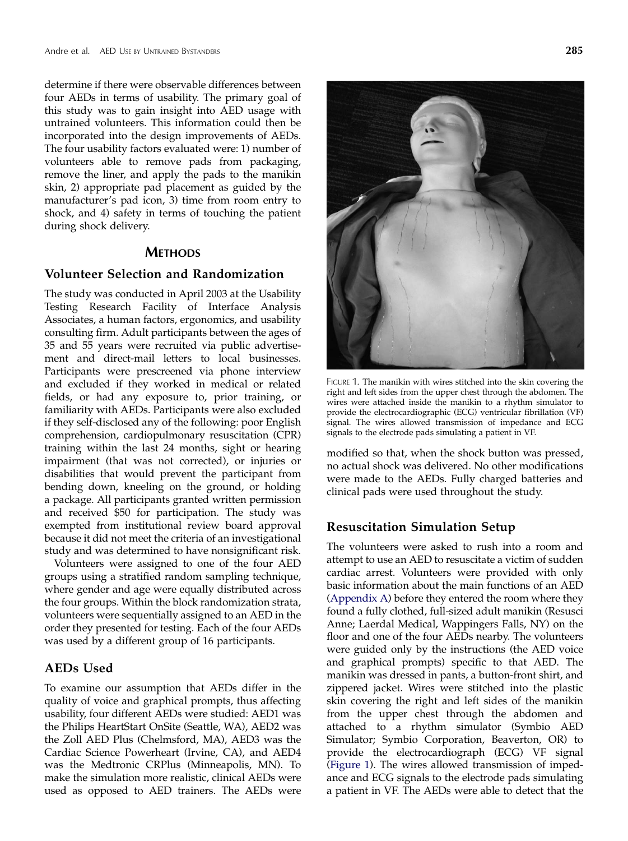determine if there were observable differences between four AEDs in terms of usability. The primary goal of this study was to gain insight into AED usage with untrained volunteers. This information could then be incorporated into the design improvements of AEDs. The four usability factors evaluated were: 1) number of volunteers able to remove pads from packaging, remove the liner, and apply the pads to the manikin skin, 2) appropriate pad placement as guided by the manufacturer's pad icon, 3) time from room entry to shock, and 4) safety in terms of touching the patient during shock delivery.

## **METHODS**

## Volunteer Selection and Randomization

The study was conducted in April 2003 at the Usability Testing Research Facility of Interface Analysis Associates, a human factors, ergonomics, and usability consulting firm. Adult participants between the ages of 35 and 55 years were recruited via public advertisement and direct-mail letters to local businesses. Participants were prescreened via phone interview and excluded if they worked in medical or related fields, or had any exposure to, prior training, or familiarity with AEDs. Participants were also excluded if they self-disclosed any of the following: poor English comprehension, cardiopulmonary resuscitation (CPR) training within the last 24 months, sight or hearing impairment (that was not corrected), or injuries or disabilities that would prevent the participant from bending down, kneeling on the ground, or holding a package. All participants granted written permission and received \$50 for participation. The study was exempted from institutional review board approval because it did not meet the criteria of an investigational study and was determined to have nonsignificant risk.

Volunteers were assigned to one of the four AED groups using a stratified random sampling technique, where gender and age were equally distributed across the four groups. Within the block randomization strata, volunteers were sequentially assigned to an AED in the order they presented for testing. Each of the four AEDs was used by a different group of 16 participants.

# AEDs Used

To examine our assumption that AEDs differ in the quality of voice and graphical prompts, thus affecting usability, four different AEDs were studied: AED1 was the Philips HeartStart OnSite (Seattle, WA), AED2 was the Zoll AED Plus (Chelmsford, MA), AED3 was the Cardiac Science Powerheart (Irvine, CA), and AED4 was the Medtronic CRPlus (Minneapolis, MN). To make the simulation more realistic, clinical AEDs were used as opposed to AED trainers. The AEDs were



FIGURE 1. The manikin with wires stitched into the skin covering the right and left sides from the upper chest through the abdomen. The wires were attached inside the manikin to a rhythm simulator to provide the electrocardiographic (ECG) ventricular fibrillation (VF) signal. The wires allowed transmission of impedance and ECG signals to the electrode pads simulating a patient in VF.

modified so that, when the shock button was pressed, no actual shock was delivered. No other modifications were made to the AEDs. Fully charged batteries and clinical pads were used throughout the study.

## Resuscitation Simulation Setup

The volunteers were asked to rush into a room and attempt to use an AED to resuscitate a victim of sudden cardiac arrest. Volunteers were provided with only basic information about the main functions of an AED ([Appendix A\)](#page-7-0) before they entered the room where they found a fully clothed, full-sized adult manikin (Resusci Anne; Laerdal Medical, Wappingers Falls, NY) on the floor and one of the four AEDs nearby. The volunteers were guided only by the instructions (the AED voice and graphical prompts) specific to that AED. The manikin was dressed in pants, a button-front shirt, and zippered jacket. Wires were stitched into the plastic skin covering the right and left sides of the manikin from the upper chest through the abdomen and attached to a rhythm simulator (Symbio AED Simulator; Symbio Corporation, Beaverton, OR) to provide the electrocardiograph (ECG) VF signal (Figure 1). The wires allowed transmission of impedance and ECG signals to the electrode pads simulating a patient in VF. The AEDs were able to detect that the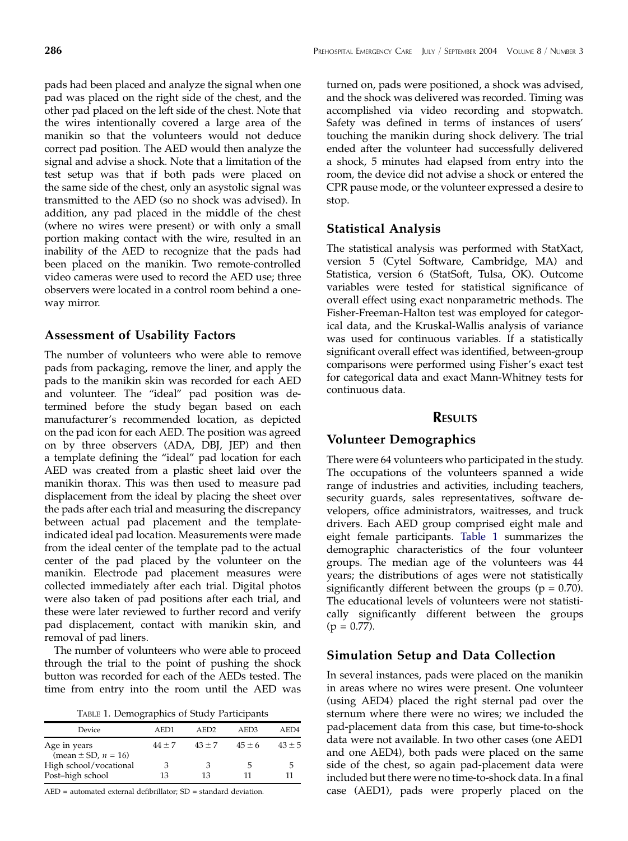pads had been placed and analyze the signal when one pad was placed on the right side of the chest, and the other pad placed on the left side of the chest. Note that the wires intentionally covered a large area of the manikin so that the volunteers would not deduce correct pad position. The AED would then analyze the signal and advise a shock. Note that a limitation of the test setup was that if both pads were placed on the same side of the chest, only an asystolic signal was transmitted to the AED (so no shock was advised). In addition, any pad placed in the middle of the chest (where no wires were present) or with only a small portion making contact with the wire, resulted in an inability of the AED to recognize that the pads had been placed on the manikin. Two remote-controlled video cameras were used to record the AED use; three observers were located in a control room behind a oneway mirror.

### Assessment of Usability Factors

The number of volunteers who were able to remove pads from packaging, remove the liner, and apply the pads to the manikin skin was recorded for each AED and volunteer. The "ideal" pad position was determined before the study began based on each manufacturer's recommended location, as depicted on the pad icon for each AED. The position was agreed on by three observers (ADA, DBJ, JEP) and then a template defining the ''ideal'' pad location for each AED was created from a plastic sheet laid over the manikin thorax. This was then used to measure pad displacement from the ideal by placing the sheet over the pads after each trial and measuring the discrepancy between actual pad placement and the templateindicated ideal pad location. Measurements were made from the ideal center of the template pad to the actual center of the pad placed by the volunteer on the manikin. Electrode pad placement measures were collected immediately after each trial. Digital photos were also taken of pad positions after each trial, and these were later reviewed to further record and verify pad displacement, contact with manikin skin, and removal of pad liners.

The number of volunteers who were able to proceed through the trial to the point of pushing the shock button was recorded for each of the AEDs tested. The time from entry into the room until the AED was

TABLE 1. Demographics of Study Participants

| Device                                     | AED1       | AED <sub>2</sub> | AED <sub>3</sub> | AED4       |
|--------------------------------------------|------------|------------------|------------------|------------|
| Age in years<br>(mean $\pm$ SD, $n = 16$ ) | $44 \pm 7$ | $43 + 7$         | $45 + 6$         | $43 \pm 5$ |
| High school/vocational                     |            |                  |                  |            |
| Post-high school                           | 13         | 13               |                  |            |

AED = automated external defibrillator; SD = standard deviation.

turned on, pads were positioned, a shock was advised, and the shock was delivered was recorded. Timing was accomplished via video recording and stopwatch. Safety was defined in terms of instances of users' touching the manikin during shock delivery. The trial ended after the volunteer had successfully delivered a shock, 5 minutes had elapsed from entry into the room, the device did not advise a shock or entered the CPR pause mode, or the volunteer expressed a desire to stop.

#### Statistical Analysis

The statistical analysis was performed with StatXact, version 5 (Cytel Software, Cambridge, MA) and Statistica, version 6 (StatSoft, Tulsa, OK). Outcome variables were tested for statistical significance of overall effect using exact nonparametric methods. The Fisher-Freeman-Halton test was employed for categorical data, and the Kruskal-Wallis analysis of variance was used for continuous variables. If a statistically significant overall effect was identified, between-group comparisons were performed using Fisher's exact test for categorical data and exact Mann-Whitney tests for continuous data.

#### **RESULTS**

#### Volunteer Demographics

There were 64 volunteers who participated in the study. The occupations of the volunteers spanned a wide range of industries and activities, including teachers, security guards, sales representatives, software developers, office administrators, waitresses, and truck drivers. Each AED group comprised eight male and eight female participants. Table 1 summarizes the demographic characteristics of the four volunteer groups. The median age of the volunteers was 44 years; the distributions of ages were not statistically significantly different between the groups ( $p = 0.70$ ). The educational levels of volunteers were not statistically significantly different between the groups  $(p = 0.77)$ .

#### Simulation Setup and Data Collection

In several instances, pads were placed on the manikin in areas where no wires were present. One volunteer (using AED4) placed the right sternal pad over the sternum where there were no wires; we included the pad-placement data from this case, but time-to-shock data were not available. In two other cases (one AED1 and one AED4), both pads were placed on the same side of the chest, so again pad-placement data were included but there were no time-to-shock data. In a final case (AED1), pads were properly placed on the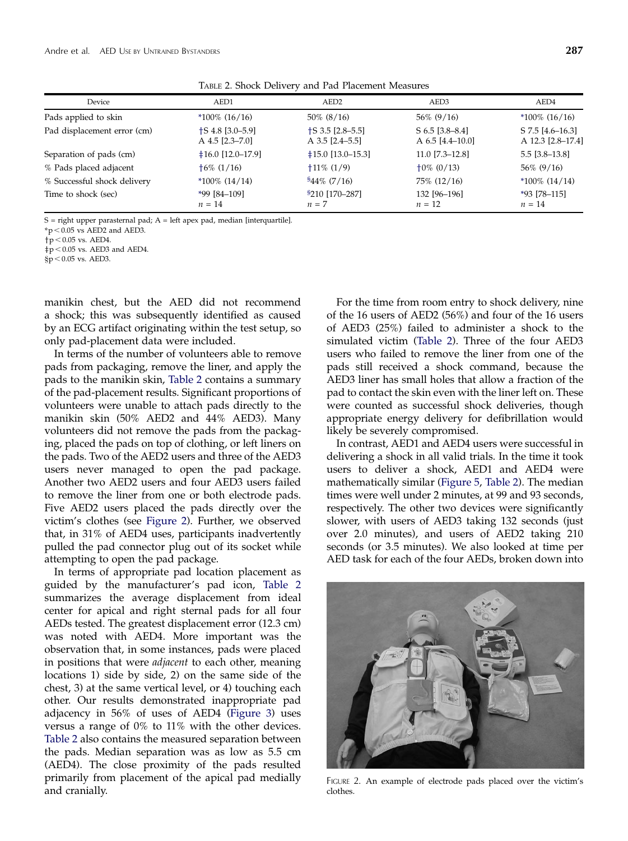| Device                      | AED1                                           | AED <sub>2</sub>                       | AED <sub>3</sub>                      | AED4                                  |
|-----------------------------|------------------------------------------------|----------------------------------------|---------------------------------------|---------------------------------------|
| Pads applied to skin        | $*100\%$ (16/16)                               | $50\%~(8/16)$                          | 56\% (9/16)                           | $*100\%$ (16/16)                      |
| Pad displacement error (cm) | $\dagger$ S 4.8 [3.0–5.9]<br>A $4.5$ [2.3–7.0] | $+$ S 3.5 [2.8–5.5]<br>A 3.5 [2.4–5.5] | $S$ 6.5 [3.8–8.4]<br>A 6.5 [4.4-10.0] | S 7.5 [4.6–16.3]<br>A 12.3 [2.8-17.4] |
| Separation of pads (cm)     | $\text{\textsterling}16.0$ [12.0–17.9]         | $\pm 15.0$ [13.0-15.3]                 | $11.0$ [7.3-12.8]                     | $5.5$ [3.8–13.8]                      |
| % Pads placed adjacent      | $+6\%$ (1/16)                                  | $+11\%$ (1/9)                          | $+0\%$ (0/13)                         | 56\% (9/16)                           |
| % Successful shock delivery | $*100\%$ (14/14)                               | $$44\%$ (7/16)                         | 75% (12/16)                           | $*100\%$ (14/14)                      |
| Time to shock (sec)         | $*99$ [84-109]<br>$n = 14$                     | <sup>\$</sup> 210 [170-287]<br>$n = 7$ | 132 [96-196]<br>$n = 12$              | $*93$ [78-115]<br>$n = 14$            |

TABLE 2. Shock Delivery and Pad Placement Measures

S = right upper parasternal pad; A = left apex pad, median [interquartile].

 $*p < 0.05$  vs AED2 and AED3.

 ${\rm tp} < 0.05$  vs. AED4.

 $\text{\#p}$  < 0.05 vs. AED3 and AED4.

 $$p < 0.05$  vs. AED3.

manikin chest, but the AED did not recommend a shock; this was subsequently identified as caused by an ECG artifact originating within the test setup, so only pad-placement data were included.

In terms of the number of volunteers able to remove pads from packaging, remove the liner, and apply the pads to the manikin skin, Table 2 contains a summary of the pad-placement results. Significant proportions of volunteers were unable to attach pads directly to the manikin skin (50% AED2 and 44% AED3). Many volunteers did not remove the pads from the packaging, placed the pads on top of clothing, or left liners on the pads. Two of the AED2 users and three of the AED3 users never managed to open the pad package. Another two AED2 users and four AED3 users failed to remove the liner from one or both electrode pads. Five AED2 users placed the pads directly over the victim's clothes (see Figure 2). Further, we observed that, in 31% of AED4 uses, participants inadvertently pulled the pad connector plug out of its socket while attempting to open the pad package.

In terms of appropriate pad location placement as guided by the manufacturer's pad icon, Table 2 summarizes the average displacement from ideal center for apical and right sternal pads for all four AEDs tested. The greatest displacement error (12.3 cm) was noted with AED4. More important was the observation that, in some instances, pads were placed in positions that were adjacent to each other, meaning locations 1) side by side, 2) on the same side of the chest, 3) at the same vertical level, or 4) touching each other. Our results demonstrated inappropriate pad adjacency in 56% of uses of AED4 ([Figure 3](#page-4-0)) uses versus a range of 0% to 11% with the other devices. Table 2 also contains the measured separation between the pads. Median separation was as low as 5.5 cm (AED4). The close proximity of the pads resulted primarily from placement of the apical pad medially and cranially.

For the time from room entry to shock delivery, nine of the 16 users of AED2 (56%) and four of the 16 users of AED3 (25%) failed to administer a shock to the simulated victim (Table 2). Three of the four AED3 users who failed to remove the liner from one of the pads still received a shock command, because the AED3 liner has small holes that allow a fraction of the pad to contact the skin even with the liner left on. These were counted as successful shock deliveries, though appropriate energy delivery for defibrillation would likely be severely compromised.

In contrast, AED1 and AED4 users were successful in delivering a shock in all valid trials. In the time it took users to deliver a shock, AED1 and AED4 were mathematically similar ([Figure 5,](#page-6-0) Table 2). The median times were well under 2 minutes, at 99 and 93 seconds, respectively. The other two devices were significantly slower, with users of AED3 taking 132 seconds (just over 2.0 minutes), and users of AED2 taking 210 seconds (or 3.5 minutes). We also looked at time per AED task for each of the four AEDs, broken down into



FIGURE 2. An example of electrode pads placed over the victim's clothes.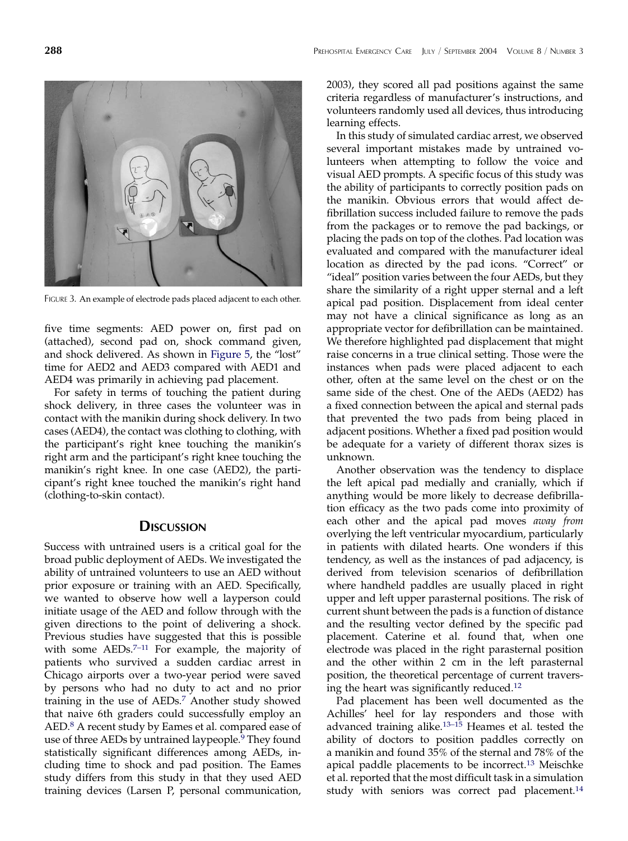FIGURE 3. An example of electrode pads placed adjacent to each other.

five time segments: AED power on, first pad on (attached), second pad on, shock command given, and shock delivered. As shown in [Figure 5,](#page-6-0) the ''lost'' time for AED2 and AED3 compared with AED1 and AED4 was primarily in achieving pad placement.

For safety in terms of touching the patient during shock delivery, in three cases the volunteer was in contact with the manikin during shock delivery. In two cases (AED4), the contact was clothing to clothing, with the participant's right knee touching the manikin's right arm and the participant's right knee touching the manikin's right knee. In one case (AED2), the participant's right knee touched the manikin's right hand (clothing-to-skin contact).

#### **DISCUSSION**

Success with untrained users is a critical goal for the broad public deployment of AEDs. We investigated the ability of untrained volunteers to use an AED without prior exposure or training with an AED. Specifically, we wanted to observe how well a layperson could initiate usage of the AED and follow through with the given directions to the point of delivering a shock. Previous studies have suggested that this is possible with some AEDs.<sup>7-11</sup> For example, the majority of patients who survived a sudden cardiac arrest in Chicago airports over a two-year period were saved by persons who had no duty to act and no prior training in the use of AEDs.[7](#page-6-0) Another study showed that naive 6th graders could successfully employ an AED.[8](#page-6-0) A recent study by Eames et al. compared ease of use of three AEDs by untrained laypeople.<sup>[9](#page-6-0)</sup> They found statistically significant differences among AEDs, including time to shock and pad position. The Eames study differs from this study in that they used AED training devices (Larsen P, personal communication,

2003), they scored all pad positions against the same criteria regardless of manufacturer's instructions, and volunteers randomly used all devices, thus introducing learning effects.

In this study of simulated cardiac arrest, we observed several important mistakes made by untrained volunteers when attempting to follow the voice and visual AED prompts. A specific focus of this study was the ability of participants to correctly position pads on the manikin. Obvious errors that would affect defibrillation success included failure to remove the pads from the packages or to remove the pad backings, or placing the pads on top of the clothes. Pad location was evaluated and compared with the manufacturer ideal location as directed by the pad icons. ''Correct'' or ''ideal'' position varies between the four AEDs, but they share the similarity of a right upper sternal and a left apical pad position. Displacement from ideal center may not have a clinical significance as long as an appropriate vector for defibrillation can be maintained. We therefore highlighted pad displacement that might raise concerns in a true clinical setting. Those were the instances when pads were placed adjacent to each other, often at the same level on the chest or on the same side of the chest. One of the AEDs (AED2) has a fixed connection between the apical and sternal pads that prevented the two pads from being placed in adjacent positions. Whether a fixed pad position would be adequate for a variety of different thorax sizes is unknown.

Another observation was the tendency to displace the left apical pad medially and cranially, which if anything would be more likely to decrease defibrillation efficacy as the two pads come into proximity of each other and the apical pad moves away from overlying the left ventricular myocardium, particularly in patients with dilated hearts. One wonders if this tendency, as well as the instances of pad adjacency, is derived from television scenarios of defibrillation where handheld paddles are usually placed in right upper and left upper parasternal positions. The risk of current shunt between the pads is a function of distance and the resulting vector defined by the specific pad placement. Caterine et al. found that, when one electrode was placed in the right parasternal position and the other within 2 cm in the left parasternal position, the theoretical percentage of current traversing the heart was significantly reduced.[12](#page-7-0)

Pad placement has been well documented as the Achilles' heel for lay responders and those with advanced training alike. $13-15$  Heames et al. tested the ability of doctors to position paddles correctly on a manikin and found 35% of the sternal and 78% of the apical paddle placements to be incorrect.[13](#page-7-0) Meischke et al. reported that the most difficult task in a simulation study with seniors was correct pad placement.<sup>[14](#page-7-0)</sup>

<span id="page-4-0"></span>

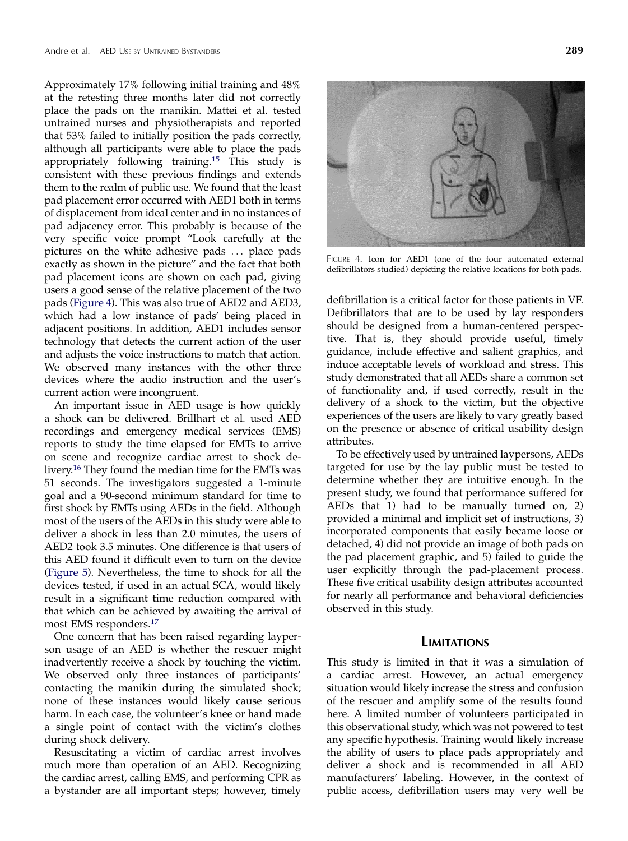Approximately 17% following initial training and 48% at the retesting three months later did not correctly place the pads on the manikin. Mattei et al. tested untrained nurses and physiotherapists and reported that 53% failed to initially position the pads correctly, although all participants were able to place the pads appropriately following training.[15](#page-7-0) This study is consistent with these previous findings and extends them to the realm of public use. We found that the least pad placement error occurred with AED1 both in terms of displacement from ideal center and in no instances of pad adjacency error. This probably is because of the very specific voice prompt ''Look carefully at the pictures on the white adhesive pads ... place pads exactly as shown in the picture'' and the fact that both pad placement icons are shown on each pad, giving users a good sense of the relative placement of the two pads (Figure 4). This was also true of AED2 and AED3, which had a low instance of pads' being placed in adjacent positions. In addition, AED1 includes sensor technology that detects the current action of the user and adjusts the voice instructions to match that action. We observed many instances with the other three devices where the audio instruction and the user's current action were incongruent.

An important issue in AED usage is how quickly a shock can be delivered. Brillhart et al. used AED recordings and emergency medical services (EMS) reports to study the time elapsed for EMTs to arrive on scene and recognize cardiac arrest to shock delivery.[16](#page-7-0) They found the median time for the EMTs was 51 seconds. The investigators suggested a 1-minute goal and a 90-second minimum standard for time to first shock by EMTs using AEDs in the field. Although most of the users of the AEDs in this study were able to deliver a shock in less than 2.0 minutes, the users of AED2 took 3.5 minutes. One difference is that users of this AED found it difficult even to turn on the device ([Figure 5\)](#page-6-0). Nevertheless, the time to shock for all the devices tested, if used in an actual SCA, would likely result in a significant time reduction compared with that which can be achieved by awaiting the arrival of most EMS responders.[17](#page-7-0)

One concern that has been raised regarding layperson usage of an AED is whether the rescuer might inadvertently receive a shock by touching the victim. We observed only three instances of participants' contacting the manikin during the simulated shock; none of these instances would likely cause serious harm. In each case, the volunteer's knee or hand made a single point of contact with the victim's clothes during shock delivery.

Resuscitating a victim of cardiac arrest involves much more than operation of an AED. Recognizing the cardiac arrest, calling EMS, and performing CPR as a bystander are all important steps; however, timely



FIGURE 4. Icon for AED1 (one of the four automated external defibrillators studied) depicting the relative locations for both pads.

defibrillation is a critical factor for those patients in VF. Defibrillators that are to be used by lay responders should be designed from a human-centered perspective. That is, they should provide useful, timely guidance, include effective and salient graphics, and induce acceptable levels of workload and stress. This study demonstrated that all AEDs share a common set of functionality and, if used correctly, result in the delivery of a shock to the victim, but the objective experiences of the users are likely to vary greatly based on the presence or absence of critical usability design attributes.

To be effectively used by untrained laypersons, AEDs targeted for use by the lay public must be tested to determine whether they are intuitive enough. In the present study, we found that performance suffered for AEDs that 1) had to be manually turned on, 2) provided a minimal and implicit set of instructions, 3) incorporated components that easily became loose or detached, 4) did not provide an image of both pads on the pad placement graphic, and 5) failed to guide the user explicitly through the pad-placement process. These five critical usability design attributes accounted for nearly all performance and behavioral deficiencies observed in this study.

#### **LIMITATIONS**

This study is limited in that it was a simulation of a cardiac arrest. However, an actual emergency situation would likely increase the stress and confusion of the rescuer and amplify some of the results found here. A limited number of volunteers participated in this observational study, which was not powered to test any specific hypothesis. Training would likely increase the ability of users to place pads appropriately and deliver a shock and is recommended in all AED manufacturers' labeling. However, in the context of public access, defibrillation users may very well be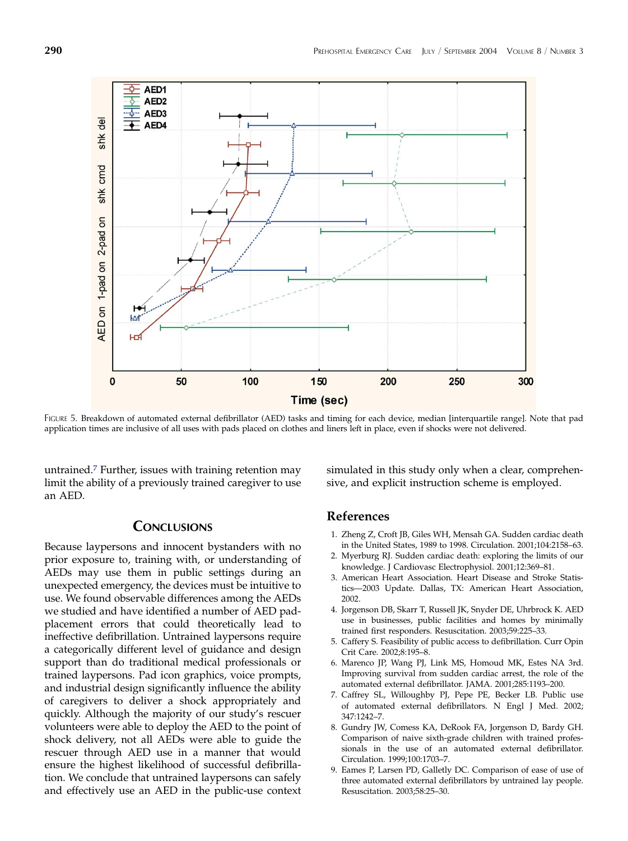<span id="page-6-0"></span>

FIGURE 5. Breakdown of automated external defibrillator (AED) tasks and timing for each device, median [interquartile range]. Note that pad application times are inclusive of all uses with pads placed on clothes and liners left in place, even if shocks were not delivered.

untrained.<sup>7</sup> Further, issues with training retention may limit the ability of a previously trained caregiver to use an AED.

## **CONCLUSIONS**

Because laypersons and innocent bystanders with no prior exposure to, training with, or understanding of AEDs may use them in public settings during an unexpected emergency, the devices must be intuitive to use. We found observable differences among the AEDs we studied and have identified a number of AED padplacement errors that could theoretically lead to ineffective defibrillation. Untrained laypersons require a categorically different level of guidance and design support than do traditional medical professionals or trained laypersons. Pad icon graphics, voice prompts, and industrial design significantly influence the ability of caregivers to deliver a shock appropriately and quickly. Although the majority of our study's rescuer volunteers were able to deploy the AED to the point of shock delivery, not all AEDs were able to guide the rescuer through AED use in a manner that would ensure the highest likelihood of successful defibrillation. We conclude that untrained laypersons can safely and effectively use an AED in the public-use context

simulated in this study only when a clear, comprehensive, and explicit instruction scheme is employed.

## References

- 1. Zheng Z, Croft JB, Giles WH, Mensah GA. Sudden cardiac death in the United States, 1989 to 1998. Circulation. 2001;104:2158–63.
- 2. Myerburg RJ. Sudden cardiac death: exploring the limits of our knowledge. J Cardiovasc Electrophysiol. 2001;12:369–81.
- 3. American Heart Association. Heart Disease and Stroke Statistics—2003 Update. Dallas, TX: American Heart Association, 2002.
- 4. Jorgenson DB, Skarr T, Russell JK, Snyder DE, Uhrbrock K. AED use in businesses, public facilities and homes by minimally trained first responders. Resuscitation. 2003;59:225–33.
- 5. Caffery S. Feasibility of public access to defibrillation. Curr Opin Crit Care. 2002;8:195–8.
- 6. Marenco JP, Wang PJ, Link MS, Homoud MK, Estes NA 3rd. Improving survival from sudden cardiac arrest, the role of the automated external defibrillator. JAMA. 2001;285:1193–200.
- 7. Caffrey SL, Willoughby PJ, Pepe PE, Becker LB. Public use of automated external defibrillators. N Engl J Med. 2002; 347:1242–7.
- 8. Gundry JW, Comess KA, DeRook FA, Jorgenson D, Bardy GH. Comparison of naive sixth-grade children with trained professionals in the use of an automated external defibrillator. Circulation. 1999;100:1703–7.
- 9. Eames P, Larsen PD, Galletly DC. Comparison of ease of use of three automated external defibrillators by untrained lay people. Resuscitation. 2003;58:25–30.